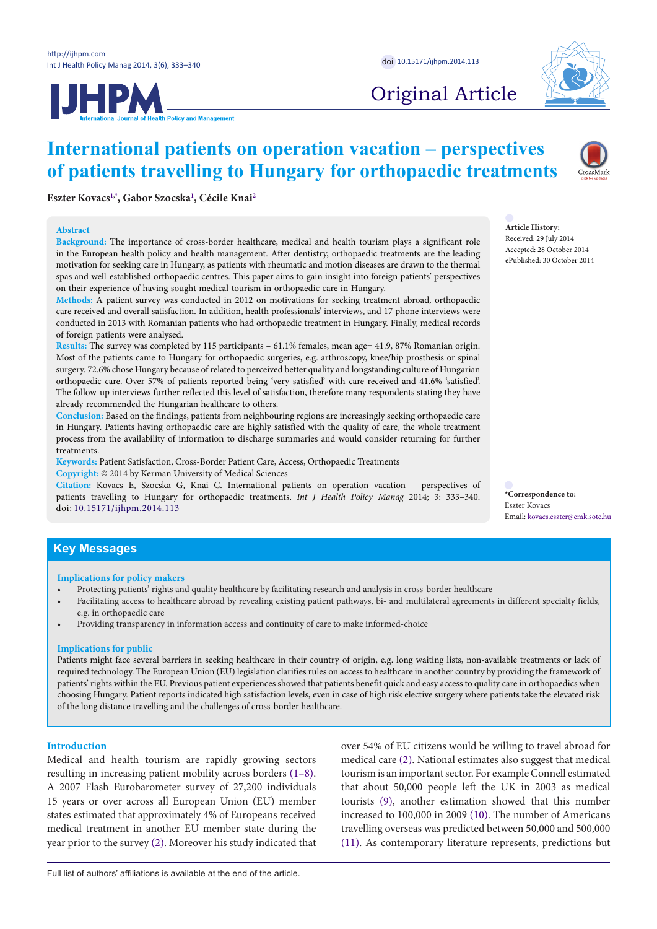**IJHPM** 



Original Article

# **International patients on operation vacation – perspectives of patients travelling to Hungary for orthopaedic treatments**



**Article History:** Received: 29 July 2014 Accepted: 28 October 2014 ePublished: 30 October 2014

**Eszter Kovacs[1](#page-6-0)[,\\*](#page-0-0) , Gabor Szocska[1](#page-6-0) , Cécile Knai[2](#page-6-1)**

### **Abstract**

**Background:** The importance of cross-border healthcare, medical and health tourism plays a significant role in the European health policy and health management. After dentistry, orthopaedic treatments are the leading motivation for seeking care in Hungary, as patients with rheumatic and motion diseases are drawn to the thermal spas and well-established orthopaedic centres. This paper aims to gain insight into foreign patients' perspectives on their experience of having sought medical tourism in orthopaedic care in Hungary.

**Methods:** A patient survey was conducted in 2012 on motivations for seeking treatment abroad, orthopaedic care received and overall satisfaction. In addition, health professionals' interviews, and 17 phone interviews were conducted in 2013 with Romanian patients who had orthopaedic treatment in Hungary. Finally, medical records of foreign patients were analysed.

**Results:** The survey was completed by 115 participants – 61.1% females, mean age= 41.9, 87% Romanian origin. Most of the patients came to Hungary for orthopaedic surgeries, e.g. arthroscopy, knee/hip prosthesis or spinal surgery. 72.6% chose Hungary because of related to perceived better quality and longstanding culture of Hungarian orthopaedic care. Over 57% of patients reported being 'very satisfied' with care received and 41.6% 'satisfied'. The follow-up interviews further reflected this level of satisfaction, therefore many respondents stating they have already recommended the Hungarian healthcare to others.

**Conclusion:** Based on the findings, patients from neighbouring regions are increasingly seeking orthopaedic care in Hungary. Patients having orthopaedic care are highly satisfied with the quality of care, the whole treatment process from the availability of information to discharge summaries and would consider returning for further treatments.

**Keywords:** Patient Satisfaction, Cross-Border Patient Care, Access, Orthopaedic Treatments **Copyright:** © 2014 by Kerman University of Medical Sciences

**Citation:** Kovacs E, Szocska G, Knai C. International patients on operation vacation – perspectives of patients travelling to Hungary for orthopaedic treatments. *Int J Health Policy Manag* 2014; 3: 333–340. doi: [10.15171/ijhpm.2014.113](http://dx.doi.org/10.15171/ijhpm.2014.113)

<span id="page-0-0"></span>**\*Correspondence to:** Eszter Kovacs Email: kovacs.eszter@emk.sote.hu

# **Key Messages**

### **Implications for policy makers**

- Protecting patients' rights and quality healthcare by facilitating research and analysis in cross-border healthcare
- Facilitating access to healthcare abroad by revealing existing patient pathways, bi- and multilateral agreements in different specialty fields, e.g. in orthopaedic care
- Providing transparency in information access and continuity of care to make informed-choice

### **Implications for public**

Patients might face several barriers in seeking healthcare in their country of origin, e.g. long waiting lists, non-available treatments or lack of required technology. The European Union (EU) legislation clarifies rules on access to healthcare in another country by providing the framework of patients' rights within the EU. Previous patient experiences showed that patients benefit quick and easy access to quality care in orthopaedics when choosing Hungary. Patient reports indicated high satisfaction levels, even in case of high risk elective surgery where patients take the elevated risk of the long distance travelling and the challenges of cross-border healthcare.

**Introduction**

Medical and health tourism are rapidly growing sectors resulting in increasing patient mobility across borders ([1–](#page-6-2)[8\)](#page-6-3). A 2007 Flash Eurobarometer survey of 27,200 individuals 15 years or over across all European Union (EU) member states estimated that approximately 4% of Europeans received medical treatment in another EU member state during the year prior to the survey ([2](#page-6-4)). Moreover his study indicated that over 54% of EU citizens would be willing to travel abroad for medical care [\(2](#page-6-4)). National estimates also suggest that medical tourism is an important sector. For example Connell estimated that about 50,000 people left the UK in 2003 as medical tourists ([9](#page-6-5)), another estimation showed that this number increased to 100,000 in 2009 [\(10\)](#page-6-6). The number of Americans travelling overseas was predicted between 50,000 and 500,000 ([11](#page-6-7)). As contemporary literature represents, predictions but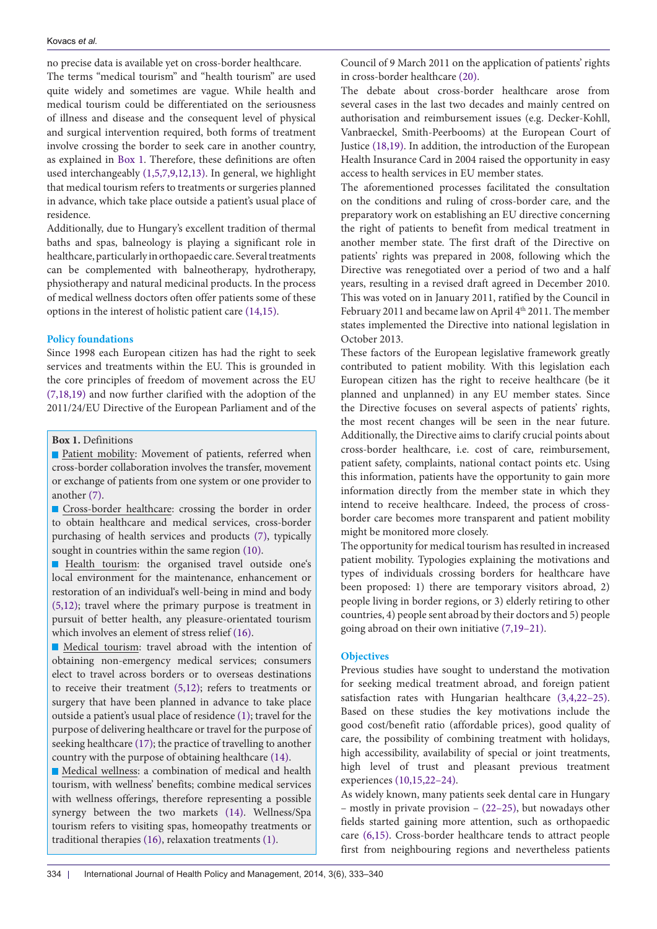no precise data is available yet on cross-border healthcare. The terms "medical tourism" and "health tourism" are used quite widely and sometimes are vague. While health and medical tourism could be differentiated on the seriousness of illness and disease and the consequent level of physical and surgical intervention required, both forms of treatment involve crossing the border to seek care in another country, as explained in [Box 1](#page-1-0). Therefore, these definitions are often used interchangeably ([1,](#page-6-2)[5,](#page-6-8)[7,](#page-6-9)[9](#page-6-5)[,12,](#page-6-10)[13\)](#page-6-11). In general, we highlight that medical tourism refers to treatments or surgeries planned in advance, which take place outside a patient's usual place of residence.

Additionally, due to Hungary's excellent tradition of thermal baths and spas, balneology is playing a significant role in healthcare, particularly in orthopaedic care. Several treatments can be complemented with balneotherapy, hydrotherapy, physiotherapy and natural medicinal products. In the process of medical wellness doctors often offer patients some of these options in the interest of holistic patient care ([14](#page-6-12),[15](#page-6-13)).

## **Policy foundations**

Since 1998 each European citizen has had the right to seek services and treatments within the EU. This is grounded in the core principles of freedom of movement across the EU ([7,](#page-6-9)[18,](#page-6-14)[19](#page-6-15)) and now further clarified with the adoption of the 2011/24/EU Directive of the European Parliament and of the

<span id="page-1-0"></span>**Box 1.** Definitions

**Patient mobility: Movement of patients, referred when** cross-border collaboration involves the transfer, movement or exchange of patients from one system or one provider to another ([7\)](#page-6-9).

**Cross-border healthcare: crossing the border in order** to obtain healthcare and medical services, cross-border purchasing of health services and products ([7\)](#page-6-9), typically sought in countries within the same region ([10](#page-6-6)).

Health tourism: the organised travel outside one's local environment for the maintenance, enhancement or restoration of an individual's well-being in mind and body [\(5](#page-6-8),[12](#page-6-10)); travel where the primary purpose is treatment in pursuit of better health, any pleasure-orientated tourism which involves an element of stress relief ([16](#page-6-24)).

Medical tourism: travel abroad with the intention of obtaining non-emergency medical services; consumers elect to travel across borders or to overseas destinations to receive their treatment [\(5](#page-6-8)[,12\)](#page-6-10); refers to treatments or surgery that have been planned in advance to take place outside a patient's usual place of residence ([1](#page-6-2)); travel for the purpose of delivering healthcare or travel for the purpose of seeking healthcare ([17](#page-6-25)); the practice of travelling to another country with the purpose of obtaining healthcare ([14](#page-6-12)).

Medical wellness: a combination of medical and health tourism, with wellness' benefits; combine medical services with wellness offerings, therefore representing a possible synergy between the two markets ([14](#page-6-12)). Wellness/Spa tourism refers to visiting spas, homeopathy treatments or traditional therapies ([16](#page-6-24)), relaxation treatments ([1\)](#page-6-2).

Council of 9 March 2011 on the application of patients' rights in cross-border healthcare [\(20\)](#page-6-16).

The debate about cross-border healthcare arose from several cases in the last two decades and mainly centred on authorisation and reimbursement issues (e.g. Decker-Kohll, Vanbraeckel, Smith-Peerbooms) at the European Court of Justice ([18,](#page-6-14)[19](#page-6-15)). In addition, the introduction of the European Health Insurance Card in 2004 raised the opportunity in easy access to health services in EU member states.

The aforementioned processes facilitated the consultation on the conditions and ruling of cross-border care, and the preparatory work on establishing an EU directive concerning the right of patients to benefit from medical treatment in another member state. The first draft of the Directive on patients' rights was prepared in 2008, following which the Directive was renegotiated over a period of two and a half years, resulting in a revised draft agreed in December 2010. This was voted on in January 2011, ratified by the Council in February 2011 and became law on April 4<sup>th</sup> 2011. The member states implemented the Directive into national legislation in October 2013.

These factors of the European legislative framework greatly contributed to patient mobility. With this legislation each European citizen has the right to receive healthcare (be it planned and unplanned) in any EU member states. Since the Directive focuses on several aspects of patients' rights, the most recent changes will be seen in the near future. Additionally, the Directive aims to clarify crucial points about cross-border healthcare, i.e. cost of care, reimbursement, patient safety, complaints, national contact points etc. Using this information, patients have the opportunity to gain more information directly from the member state in which they intend to receive healthcare. Indeed, the process of crossborder care becomes more transparent and patient mobility might be monitored more closely.

The opportunity for medical tourism has resulted in increased patient mobility. Typologies explaining the motivations and types of individuals crossing borders for healthcare have been proposed: 1) there are temporary visitors abroad, 2) people living in border regions, or 3) elderly retiring to other countries, 4) people sent abroad by their doctors and 5) people going abroad on their own initiative [\(7,](#page-6-9)[19–](#page-6-15)[21](#page-6-17)).

## **Objectives**

Previous studies have sought to understand the motivation for seeking medical treatment abroad, and foreign patient satisfaction rates with Hungarian healthcare [\(3](#page-6-18),[4](#page-6-19),[22](#page-6-20)[–25](#page-6-21)). Based on these studies the key motivations include the good cost/benefit ratio (affordable prices), good quality of care, the possibility of combining treatment with holidays, high accessibility, availability of special or joint treatments, high level of trust and pleasant previous treatment experiences [\(10](#page-6-6)[,15](#page-6-13)[,22–](#page-6-20)[24\)](#page-6-22).

As widely known, many patients seek dental care in Hungary – mostly in private provision – [\(22–](#page-6-20)[25\)](#page-6-21), but nowadays other fields started gaining more attention, such as orthopaedic care [\(6](#page-6-23)[,15](#page-6-13)). Cross-border healthcare tends to attract people first from neighbouring regions and nevertheless patients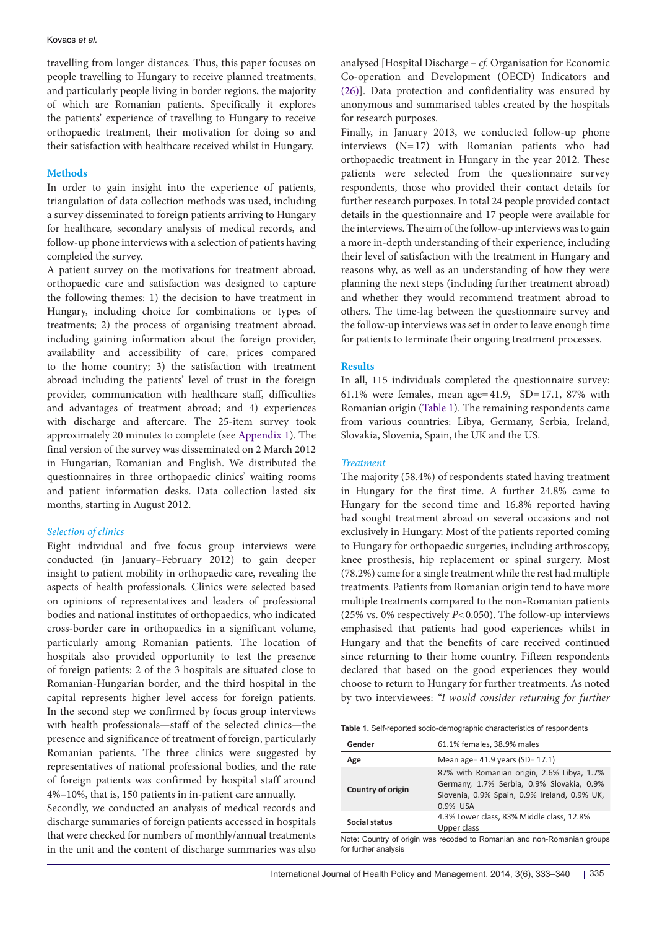travelling from longer distances. Thus, this paper focuses on people travelling to Hungary to receive planned treatments, and particularly people living in border regions, the majority of which are Romanian patients. Specifically it explores the patients' experience of travelling to Hungary to receive orthopaedic treatment, their motivation for doing so and their satisfaction with healthcare received whilst in Hungary.

## **Methods**

In order to gain insight into the experience of patients, triangulation of data collection methods was used, including a survey disseminated to foreign patients arriving to Hungary for healthcare, secondary analysis of medical records, and follow-up phone interviews with a selection of patients having completed the survey.

A patient survey on the motivations for treatment abroad, orthopaedic care and satisfaction was designed to capture the following themes: 1) the decision to have treatment in Hungary, including choice for combinations or types of treatments; 2) the process of organising treatment abroad, including gaining information about the foreign provider, availability and accessibility of care, prices compared to the home country; 3) the satisfaction with treatment abroad including the patients' level of trust in the foreign provider, communication with healthcare staff, difficulties and advantages of treatment abroad; and 4) experiences with discharge and aftercare. The 25-item survey took approximately 20 minutes to complete (see [Appendix 1](#page-7-0)). The final version of the survey was disseminated on 2 March 2012 in Hungarian, Romanian and English. We distributed the questionnaires in three orthopaedic clinics' waiting rooms and patient information desks. Data collection lasted six months, starting in August 2012.

## *Selection of clinics*

Eight individual and five focus group interviews were conducted (in January–February 2012) to gain deeper insight to patient mobility in orthopaedic care, revealing the aspects of health professionals. Clinics were selected based on opinions of representatives and leaders of professional bodies and national institutes of orthopaedics, who indicated cross-border care in orthopaedics in a significant volume, particularly among Romanian patients. The location of hospitals also provided opportunity to test the presence of foreign patients: 2 of the 3 hospitals are situated close to Romanian-Hungarian border, and the third hospital in the capital represents higher level access for foreign patients. In the second step we confirmed by focus group interviews with health professionals—staff of the selected clinics—the presence and significance of treatment of foreign, particularly Romanian patients. The three clinics were suggested by representatives of national professional bodies, and the rate of foreign patients was confirmed by hospital staff around 4%–10%, that is, 150 patients in in-patient care annually. Secondly, we conducted an analysis of medical records and discharge summaries of foreign patients accessed in hospitals that were checked for numbers of monthly/annual treatments in the unit and the content of discharge summaries was also

analysed [Hospital Discharge – *cf.* Organisation for Economic Co-operation and Development (OECD) Indicators and [\(26](#page-6-26))]. Data protection and confidentiality was ensured by anonymous and summarised tables created by the hospitals for research purposes.

Finally, in January 2013, we conducted follow-up phone interviews (N=17) with Romanian patients who had orthopaedic treatment in Hungary in the year 2012. These patients were selected from the questionnaire survey respondents, those who provided their contact details for further research purposes. In total 24 people provided contact details in the questionnaire and 17 people were available for the interviews. The aim of the follow-up interviews was to gain a more in-depth understanding of their experience, including their level of satisfaction with the treatment in Hungary and reasons why, as well as an understanding of how they were planning the next steps (including further treatment abroad) and whether they would recommend treatment abroad to others. The time-lag between the questionnaire survey and the follow-up interviews was set in order to leave enough time for patients to terminate their ongoing treatment processes.

## **Results**

In all, 115 individuals completed the questionnaire survey: 61.1% were females, mean age= $41.9$ , SD= $17.1$ , 87% with Romanian origin ([Table 1](#page-2-0)). The remaining respondents came from various countries: Libya, Germany, Serbia, Ireland, Slovakia, Slovenia, Spain, the UK and the US.

## *Treatment*

The majority (58.4%) of respondents stated having treatment in Hungary for the first time. A further 24.8% came to Hungary for the second time and 16.8% reported having had sought treatment abroad on several occasions and not exclusively in Hungary. Most of the patients reported coming to Hungary for orthopaedic surgeries, including arthroscopy, knee prosthesis, hip replacement or spinal surgery. Most (78.2%) came for a single treatment while the rest had multiple treatments. Patients from Romanian origin tend to have more multiple treatments compared to the non-Romanian patients (25% vs. 0% respectively *P*<0.050). The follow-up interviews emphasised that patients had good experiences whilst in Hungary and that the benefits of care received continued since returning to their home country. Fifteen respondents declared that based on the good experiences they would choose to return to Hungary for further treatments. As noted by two interviewees: *"I would consider returning for further* 

<span id="page-2-0"></span>

|  | Table 1. Self-reported socio-demographic characteristics of respondents |
|--|-------------------------------------------------------------------------|
|  |                                                                         |

| Gender                                                                    | 61.1% females, 38.9% males                                                                                                                          |  |
|---------------------------------------------------------------------------|-----------------------------------------------------------------------------------------------------------------------------------------------------|--|
| Age                                                                       | Mean age= $41.9$ years (SD= $17.1$ )                                                                                                                |  |
| Country of origin                                                         | 87% with Romanian origin, 2.6% Libya, 1.7%<br>Germany, 1.7% Serbia, 0.9% Slovakia, 0.9%<br>Slovenia, 0.9% Spain, 0.9% Ireland, 0.9% UK,<br>0.9% USA |  |
| 4.3% Lower class, 83% Middle class, 12.8%<br>Social status<br>Upper class |                                                                                                                                                     |  |
| Note: Country of origin was recoded to Romanian and non-Romanian groups   |                                                                                                                                                     |  |

Note: Country of origin was recoded to Romanian and non-Romanian groups for further analysis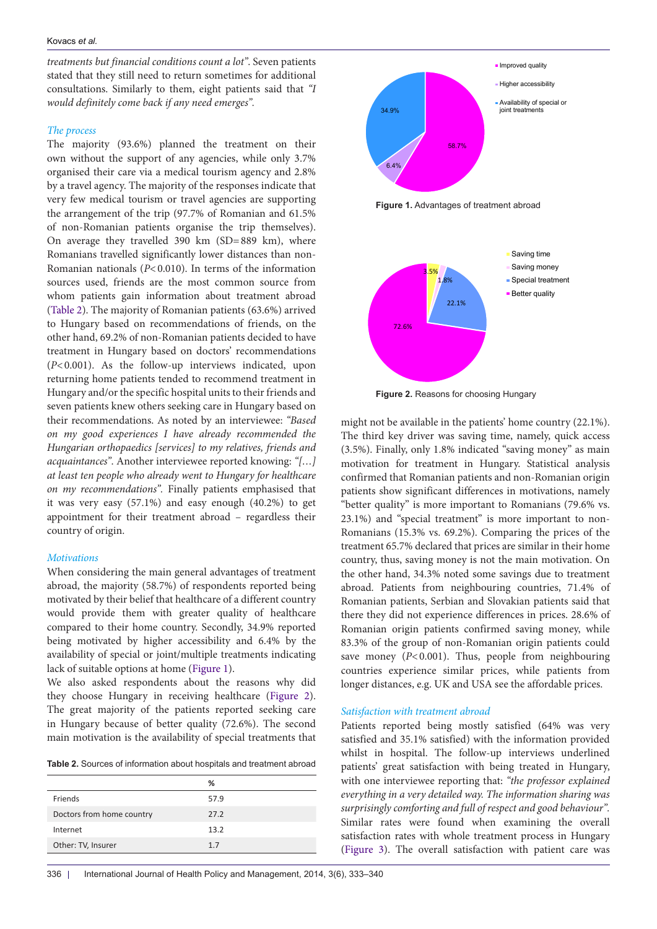## Kovacs *et al.*

*treatments but financial conditions count a lot"*. Seven patients stated that they still need to return sometimes for additional consultations. Similarly to them, eight patients said that *"I would definitely come back if any need emerges".*

## *The process*

The majority (93.6%) planned the treatment on their own without the support of any agencies, while only 3.7% organised their care via a medical tourism agency and 2.8% by a travel agency. The majority of the responses indicate that very few medical tourism or travel agencies are supporting the arrangement of the trip (97.7% of Romanian and 61.5% of non-Romanian patients organise the trip themselves). On average they travelled 390 km (SD=889 km), where Romanians travelled significantly lower distances than non-Romanian nationals (*P*<0.010). In terms of the information sources used, friends are the most common source from whom patients gain information about treatment abroad ([Table 2](#page-3-0)). The majority of Romanian patients (63.6%) arrived to Hungary based on recommendations of friends, on the other hand, 69.2% of non-Romanian patients decided to have treatment in Hungary based on doctors' recommendations (*P*<0.001). As the follow-up interviews indicated, upon returning home patients tended to recommend treatment in Hungary and/or the specific hospital units to their friends and seven patients knew others seeking care in Hungary based on their recommendations. As noted by an interviewee: *"Based on my good experiences I have already recommended the Hungarian orthopaedics [services] to my relatives, friends and acquaintances"*. Another interviewee reported knowing: *"[…] at least ten people who already went to Hungary for healthcare on my recommendations".* Finally patients emphasised that it was very easy (57.1%) and easy enough (40.2%) to get appointment for their treatment abroad – regardless their country of origin.

## *Motivations*

When considering the main general advantages of treatment abroad, the majority (58.7%) of respondents reported being motivated by their belief that healthcare of a different country would provide them with greater quality of healthcare compared to their home country. Secondly, 34.9% reported being motivated by higher accessibility and 6.4% by the availability of special or joint/multiple treatments indicating lack of suitable options at home [\(Figure 1](#page-3-1)).

We also asked respondents about the reasons why did they choose Hungary in receiving healthcare ([Figure 2\)](#page-3-2). The great majority of the patients reported seeking care in Hungary because of better quality (72.6%). The second main motivation is the availability of special treatments that

<span id="page-3-0"></span>**Table 2.** Sources of information about hospitals and treatment abroad

|                           | ℅    |
|---------------------------|------|
| Friends                   | 57.9 |
| Doctors from home country | 27.2 |
| Internet                  | 13.2 |
| Other: TV, Insurer        | 1.7  |

<span id="page-3-1"></span>58.7% 6.4% 34.9% **Improved quality Higher accessibility** Availability of special or joint treatments



<span id="page-3-2"></span>

**Figure 2.** Reasons for choosing Hungary

might not be available in the patients' home country (22.1%). The third key driver was saving time, namely, quick access (3.5%). Finally, only 1.8% indicated "saving money" as main motivation for treatment in Hungary. Statistical analysis confirmed that Romanian patients and non-Romanian origin patients show significant differences in motivations, namely "better quality" is more important to Romanians (79.6% vs. 23.1%) and "special treatment" is more important to non-Romanians (15.3% vs. 69.2%). Comparing the prices of the treatment 65.7% declared that prices are similar in their home country, thus, saving money is not the main motivation. On the other hand, 34.3% noted some savings due to treatment abroad. Patients from neighbouring countries, 71.4% of Romanian patients, Serbian and Slovakian patients said that there they did not experience differences in prices. 28.6% of Romanian origin patients confirmed saving money, while 83.3% of the group of non-Romanian origin patients could save money ( $P$ <0.001). Thus, people from neighbouring countries experience similar prices, while patients from longer distances, e.g. UK and USA see the affordable prices.

## *Satisfaction with treatment abroad*

Patients reported being mostly satisfied (64% was very satisfied and 35.1% satisfied) with the information provided whilst in hospital. The follow-up interviews underlined patients' great satisfaction with being treated in Hungary, with one interviewee reporting that: *"the professor explained everything in a very detailed way. The information sharing was surprisingly comforting and full of respect and good behaviour".*  Similar rates were found when examining the overall satisfaction rates with whole treatment process in Hungary [\(Figure 3\)](#page-4-0). The overall satisfaction with patient care was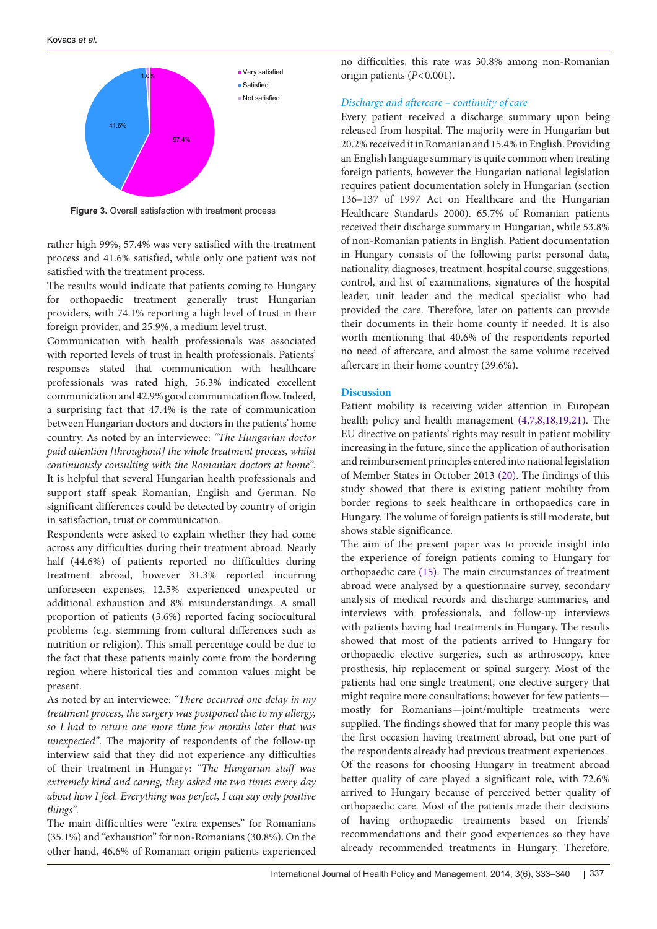Kovacs *et al.*

<span id="page-4-0"></span>

Figure 3. Overall satisfaction with treatment process

rather high 99%, 57.4% was very satisfied with the treatment process and 41.6% satisfied, while only one patient was not satisfied with the treatment process.

The results would indicate that patients coming to Hungary for orthopaedic treatment generally trust Hungarian providers, with 74.1% reporting a high level of trust in their foreign provider, and 25.9%, a medium level trust.

Communication with health professionals was associated with reported levels of trust in health professionals. Patients' responses stated that communication with healthcare professionals was rated high, 56.3% indicated excellent communication and 42.9% good communication flow. Indeed, a surprising fact that 47.4% is the rate of communication between Hungarian doctors and doctors in the patients' home country. As noted by an interviewee: *"The Hungarian doctor paid attention [throughout] the whole treatment process, whilst continuously consulting with the Romanian doctors at home".* It is helpful that several Hungarian health professionals and support staff speak Romanian, English and German. No significant differences could be detected by country of origin in satisfaction, trust or communication.

Respondents were asked to explain whether they had come across any difficulties during their treatment abroad. Nearly half (44.6%) of patients reported no difficulties during treatment abroad, however 31.3% reported incurring unforeseen expenses, 12.5% experienced unexpected or additional exhaustion and 8% misunderstandings. A small proportion of patients (3.6%) reported facing sociocultural problems (e.g. stemming from cultural differences such as nutrition or religion). This small percentage could be due to the fact that these patients mainly come from the bordering region where historical ties and common values might be present.

As noted by an interviewee: *"There occurred one delay in my treatment process, the surgery was postponed due to my allergy, so I had to return one more time few months later that was unexpected"*. The majority of respondents of the follow-up interview said that they did not experience any difficulties of their treatment in Hungary: *"The Hungarian staff was extremely kind and caring, they asked me two times every day about how I feel. Everything was perfect, I can say only positive things".*

The main difficulties were "extra expenses" for Romanians (35.1%) and "exhaustion" for non-Romanians (30.8%). On the other hand, 46.6% of Romanian origin patients experienced

no difficulties, this rate was 30.8% among non-Romanian origin patients (*P*<0.001).

# *Discharge and aftercare – continuity of care*

Every patient received a discharge summary upon being released from hospital. The majority were in Hungarian but 20.2% received it in Romanian and 15.4% in English. Providing an English language summary is quite common when treating foreign patients, however the Hungarian national legislation requires patient documentation solely in Hungarian (section 136–137 of 1997 Act on Healthcare and the Hungarian Healthcare Standards 2000). 65.7% of Romanian patients received their discharge summary in Hungarian, while 53.8% of non-Romanian patients in English. Patient documentation in Hungary consists of the following parts: personal data, nationality, diagnoses, treatment, hospital course, suggestions, control, and list of examinations, signatures of the hospital leader, unit leader and the medical specialist who had provided the care. Therefore, later on patients can provide their documents in their home county if needed. It is also worth mentioning that 40.6% of the respondents reported no need of aftercare, and almost the same volume received aftercare in their home country (39.6%).

# **Discussion**

Patient mobility is receiving wider attention in European health policy and health management ([4,](#page-6-19)[7,](#page-6-9)[8,](#page-6-3)[18,](#page-6-14)[19,](#page-6-15)[21](#page-6-17)). The EU directive on patients' rights may result in patient mobility increasing in the future, since the application of authorisation and reimbursement principles entered into national legislation of Member States in October 2013 ([20](#page-6-16)). The findings of this study showed that there is existing patient mobility from border regions to seek healthcare in orthopaedics care in Hungary. The volume of foreign patients is still moderate, but shows stable significance.

The aim of the present paper was to provide insight into the experience of foreign patients coming to Hungary for orthopaedic care ([15\)](#page-6-13). The main circumstances of treatment abroad were analysed by a questionnaire survey, secondary analysis of medical records and discharge summaries, and interviews with professionals, and follow-up interviews with patients having had treatments in Hungary. The results showed that most of the patients arrived to Hungary for orthopaedic elective surgeries, such as arthroscopy, knee prosthesis, hip replacement or spinal surgery. Most of the patients had one single treatment, one elective surgery that might require more consultations; however for few patients mostly for Romanians—joint/multiple treatments were supplied. The findings showed that for many people this was the first occasion having treatment abroad, but one part of the respondents already had previous treatment experiences. Of the reasons for choosing Hungary in treatment abroad better quality of care played a significant role, with 72.6% arrived to Hungary because of perceived better quality of orthopaedic care. Most of the patients made their decisions of having orthopaedic treatments based on friends' recommendations and their good experiences so they have already recommended treatments in Hungary. Therefore,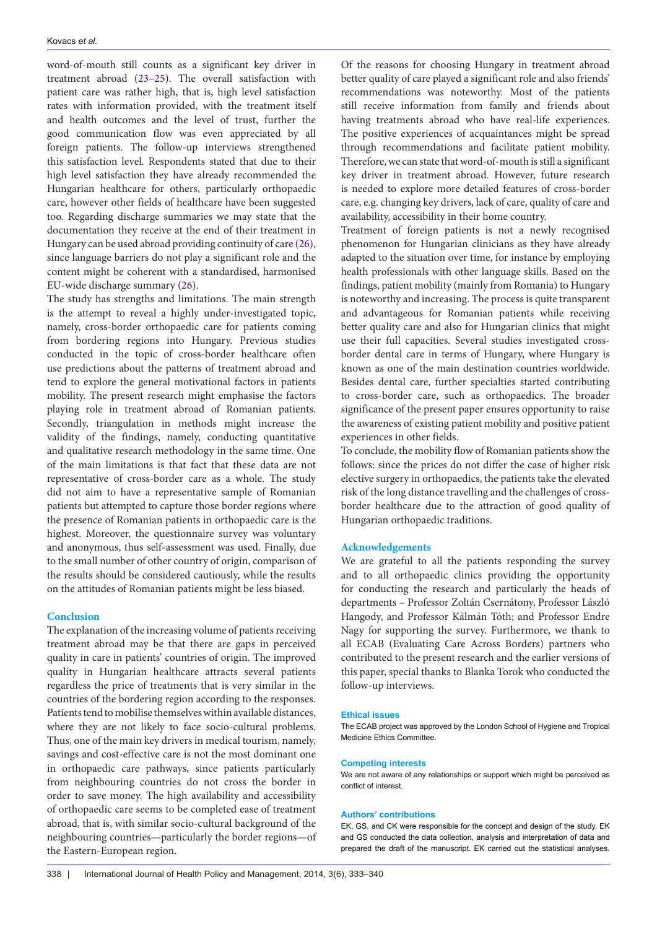word-of-mouth still counts as a significant key driver in treatment abroad [\(23–](#page-6-27)[25\)](#page-6-21). The overall satisfaction with patient care was rather high, that is, high level satisfaction rates with information provided, with the treatment itself and health outcomes and the level of trust, further the good communication flow was even appreciated by all foreign patients. The follow-up interviews strengthened this satisfaction level. Respondents stated that due to their high level satisfaction they have already recommended the Hungarian healthcare for others, particularly orthopaedic care, however other fields of healthcare have been suggested too. Regarding discharge summaries we may state that the documentation they receive at the end of their treatment in Hungary can be used abroad providing continuity of care ([26\)](#page-6-26), since language barriers do not play a significant role and the content might be coherent with a standardised, harmonised EU-wide discharge summary ([26](#page-6-26)).

The study has strengths and limitations. The main strength is the attempt to reveal a highly under-investigated topic, namely, cross-border orthopaedic care for patients coming from bordering regions into Hungary. Previous studies conducted in the topic of cross-border healthcare often use predictions about the patterns of treatment abroad and tend to explore the general motivational factors in patients mobility. The present research might emphasise the factors playing role in treatment abroad of Romanian patients. Secondly, triangulation in methods might increase the validity of the findings, namely, conducting quantitative and qualitative research methodology in the same time. One of the main limitations is that fact that these data are not representative of cross-border care as a whole. The study did not aim to have a representative sample of Romanian patients but attempted to capture those border regions where the presence of Romanian patients in orthopaedic care is the highest. Moreover, the questionnaire survey was voluntary and anonymous, thus self-assessment was used. Finally, due to the small number of other country of origin, comparison of the results should be considered cautiously, while the results on the attitudes of Romanian patients might be less biased.

### **Conclusion**

The explanation of the increasing volume of patients receiving treatment abroad may be that there are gaps in perceived quality in care in patients' countries of origin. The improved quality in Hungarian healthcare attracts several patients regardless the price of treatments that is very similar in the countries of the bordering region according to the responses. Patients tend to mobilise themselves within available distances, where they are not likely to face socio-cultural problems. Thus, one of the main key drivers in medical tourism, namely, savings and cost-effective care is not the most dominant one in orthopaedic care pathways, since patients particularly from neighbouring countries do not cross the border in order to save money. The high availability and accessibility of orthopaedic care seems to be completed ease of treatment abroad, that is, with similar socio-cultural background of the neighbouring countries—particularly the border regions—of the Eastern-European region.

Of the reasons for choosing Hungary in treatment abroad better quality of care played a significant role and also friends' recommendations was noteworthy. Most of the patients still receive information from family and friends about having treatments abroad who have real-life experiences. The positive experiences of acquaintances might be spread through recommendations and facilitate patient mobility. Therefore, we can state that word-of-mouth is still a significant key driver in treatment abroad. However, future research is needed to explore more detailed features of cross-border care, e.g. changing key drivers, lack of care, quality of care and availability, accessibility in their home country.

Treatment of foreign patients is not a newly recognised phenomenon for Hungarian clinicians as they have already adapted to the situation over time, for instance by employing health professionals with other language skills. Based on the findings, patient mobility (mainly from Romania) to Hungary is noteworthy and increasing. The process is quite transparent and advantageous for Romanian patients while receiving better quality care and also for Hungarian clinics that might use their full capacities. Several studies investigated crossborder dental care in terms of Hungary, where Hungary is known as one of the main destination countries worldwide. Besides dental care, further specialties started contributing to cross-border care, such as orthopaedics. The broader significance of the present paper ensures opportunity to raise the awareness of existing patient mobility and positive patient experiences in other fields.

To conclude, the mobility flow of Romanian patients show the follows: since the prices do not differ the case of higher risk elective surgery in orthopaedics, the patients take the elevated risk of the long distance travelling and the challenges of crossborder healthcare due to the attraction of good quality of Hungarian orthopaedic traditions.

## **Acknowledgements**

We are grateful to all the patients responding the survey and to all orthopaedic clinics providing the opportunity for conducting the research and particularly the heads of departments – Professor Zoltán Csernátony, Professor László Hangody, and Professor Kálmán Tóth; and Professor Endre Nagy for supporting the survey. Furthermore, we thank to all ECAB (Evaluating Care Across Borders) partners who contributed to the present research and the earlier versions of this paper, special thanks to Blanka Torok who conducted the follow-up interviews.

#### **Ethical issues**

The ECAB project was approved by the London School of Hygiene and Tropical Medicine Ethics Committee.

#### **Competing interests**

We are not aware of any relationships or support which might be perceived as conflict of interest.

#### **Authors' contributions**

EK, GS, and CK were responsible for the concept and design of the study. EK and GS conducted the data collection, analysis and interpretation of data and prepared the draft of the manuscript. EK carried out the statistical analyses.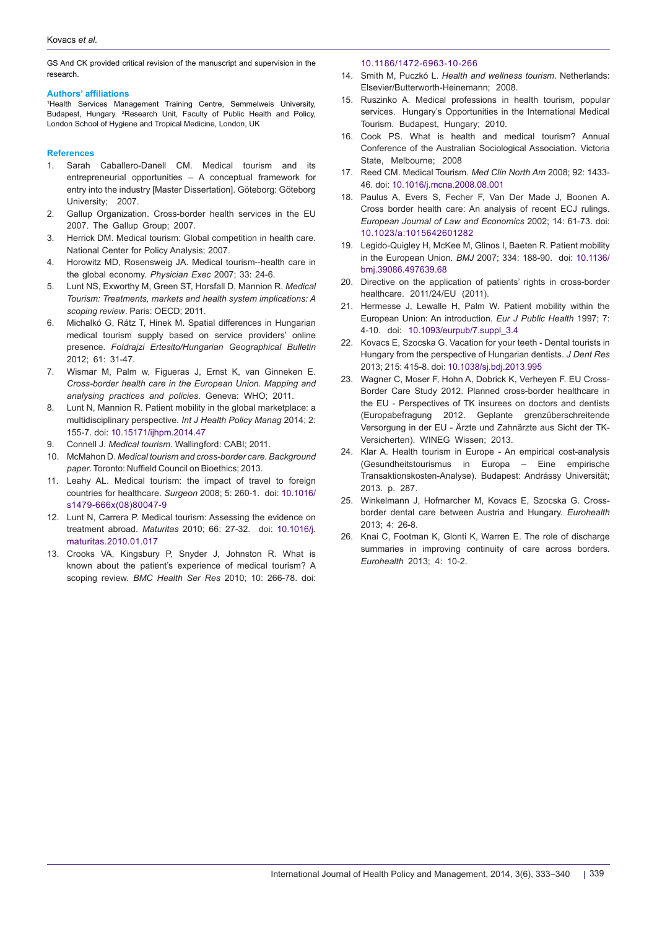GS And CK provided critical revision of the manuscript and supervision in the research.

### **Authors' affiliations**

<span id="page-6-1"></span><span id="page-6-0"></span>1 Health Services Management Training Centre, Semmelweis University, Budapest, Hungary. <sup>2</sup>Research Unit, Faculty of Public Health and Policy, London School of Hygiene and Tropical Medicine, London, UK

#### **References**

- <span id="page-6-2"></span>1. Sarah Caballero-Danell CM. Medical tourism and its entrepreneurial opportunities – A conceptual framework for entry into the industry [Master Dissertation]. Göteborg: Göteborg University; 2007.
- <span id="page-6-4"></span>2. Gallup Organization. Cross-border health services in the EU 2007. The Gallup Group; 2007.
- <span id="page-6-18"></span>3. Herrick DM. Medical tourism: Global competition in health care. National Center for Policy Analysis; 2007.
- <span id="page-6-19"></span>4. Horowitz MD, Rosensweig JA. Medical tourism--health care in the global economy. *Physician Exec* 2007; 33: 24-6.
- <span id="page-6-8"></span>5. Lunt NS, Exworthy M, Green ST, Horsfall D, Mannion R. *Medical Tourism: Treatments, markets and health system implications: A scoping review*. Paris: OECD; 2011.
- <span id="page-6-23"></span>6. Michalkó G, Rátz T, Hinek M. Spatial differences in Hungarian medical tourism supply based on service providers' online presence. *Foldrajzi Ertesito/Hungarian Geographical Bulletin*  2012; 61: 31-47.
- <span id="page-6-9"></span>7. Wismar M, Palm w, Figueras J, Ernst K, van Ginneken E. *Cross-border health care in the European Union. Mapping and analysing practices and policies*. Geneva: WHO; 2011.
- <span id="page-6-3"></span>8. Lunt N, Mannion R. Patient mobility in the global marketplace: a multidisciplinary perspective. *Int J Health Policy Manag* 2014; 2: 155-7. doi: [10.15171/ijhpm.2014.47](http://dx.doi.org/10.15171/ijhpm.2014.47)
- <span id="page-6-5"></span>9. Connell J. *Medical tourism*. Wallingford: CABI; 2011.
- <span id="page-6-6"></span>10. McMahon D. *Medical tourism and cross-border care. Background paper*. Toronto: Nuffield Council on Bioethics; 2013.
- <span id="page-6-7"></span>11. Leahy AL. Medical tourism: the impact of travel to foreign countries for healthcare. *Surgeon* 2008; 5: 260-1. doi: [10.1016/](http://dx.doi.org/10.1016/s1479-666x(08)80047-9) [s1479-666x\(08\)80047-9](http://dx.doi.org/10.1016/s1479-666x(08)80047-9)
- <span id="page-6-10"></span>12. Lunt N, Carrera P. Medical tourism: Assessing the evidence on treatment abroad. *Maturitas* 2010; 66: 27-32. doi: [10.1016/j.](http://dx.doi.org/10.1016/j.maturitas.2010.01.017) [maturitas.2010.01.017](http://dx.doi.org/10.1016/j.maturitas.2010.01.017)
- <span id="page-6-11"></span>13. Crooks VA, Kingsbury P, Snyder J, Johnston R. What is known about the patient's experience of medical tourism? A scoping review. *BMC Health Ser Res* 2010; 10: 266-78. doi:

#### <span id="page-6-12"></span>[10.1186/1472-6963-10-266](http://dx.doi.org/10.1186/1472-6963-10-266)

- 14. Smith M, Puczkó L. *Health and wellness tourism.* Netherlands: Elsevier/Butterworth-Heinemann; 2008.
- <span id="page-6-13"></span>15. Ruszinko A. Medical professions in health tourism, popular services. Hungary's Opportunities in the International Medical Tourism. Budapest, Hungary; 2010.
- <span id="page-6-24"></span>16. Cook PS. What is health and medical tourism? Annual Conference of the Australian Sociological Association. Victoria State, Melbourne; 2008
- <span id="page-6-25"></span>17. Reed CM. Medical Tourism. *Med Clin North Am* 2008; 92: 1433- 46. doi: [10.1016/j.mcna.2008.08.001](http://dx.doi.org/10.1016/j.mcna.2008.08.001)
- <span id="page-6-14"></span>18. Paulus A, Evers S, Fecher F, Van Der Made J, Boonen A. Cross border health care: An analysis of recent ECJ rulings. *European Journal of Law and Economics* 2002; 14: 61-73. doi: [10.1023/a:1015642601282](http://dx.doi.org/10.1023/a:1015642601282)
- <span id="page-6-15"></span>19. Legido-Quigley H, McKee M, Glinos I, Baeten R. Patient mobility in the European Union. *BMJ* 2007; 334: 188-90. doi: [10.1136/](http://dx.doi.org/10.1136/bmj.39086.497639.68) [bmj.39086.497639.68](http://dx.doi.org/10.1136/bmj.39086.497639.68)
- <span id="page-6-16"></span>20. Directive on the application of patients' rights in cross-border healthcare. 2011/24/EU (2011).
- <span id="page-6-17"></span>21. Hermesse J, Lewalle H, Palm W. Patient mobility within the European Union: An introduction. *Eur J Public Health* 1997; 7: 4-10. doi: [10.1093/eurpub/7.suppl\\_3.4](http://dx.doi.org/10.0.4.69/eurpub/7.suppl_3.4)
- <span id="page-6-20"></span>22. Kovacs E, Szocska G. Vacation for your teeth - Dental tourists in Hungary from the perspective of Hungarian dentists. *J Dent Res* 2013; 215: 415-8. doi: [10.1038/sj.bdj.2013.995](http://dx.doi.org/10.1038/sj.bdj.2013.995)
- <span id="page-6-27"></span>23. Wagner C, Moser F, Hohn A, Dobrick K, Verheyen F. EU Cross-Border Care Study 2012. Planned cross-border healthcare in the EU - Perspectives of TK insurees on doctors and dentists (Europabefragung 2012. Geplante grenzüberschreitende Versorgung in der EU - Ärzte und Zahnärzte aus Sicht der TK-Versicherten). WINEG Wissen; 2013.
- <span id="page-6-22"></span>24. Klar A. Health tourism in Europe - An empirical cost-analysis (Gesundheitstourismus in Europa – Eine empirische Transaktionskosten-Analyse). Budapest: Andrássy Universität; 2013. p. 287.
- <span id="page-6-21"></span>25. Winkelmann J, Hofmarcher M, Kovacs E, Szocska G. Crossborder dental care between Austria and Hungary. *Eurohealth*  2013; 4: 26-8.
- <span id="page-6-26"></span>26. Knai C, Footman K, Glonti K, Warren E. The role of discharge summaries in improving continuity of care across borders. *Eurohealth* 2013; 4: 10-2.